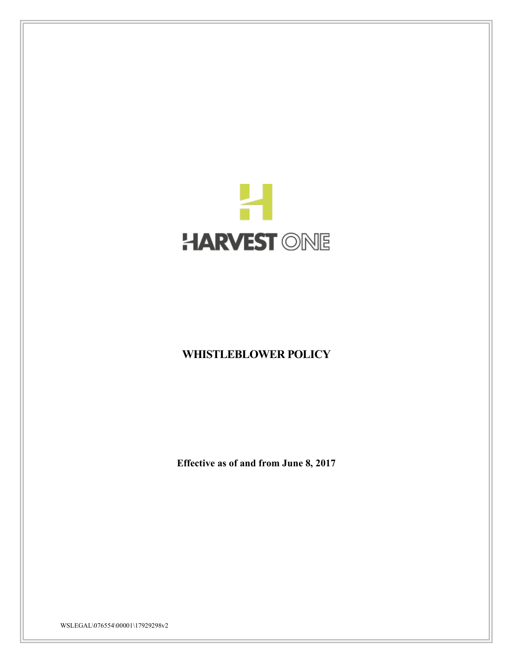

# **WHISTLEBLOWER POLICY**

**Effective as of and from June 8, 2017**

WSLEGAL\076554\00001\17929298v2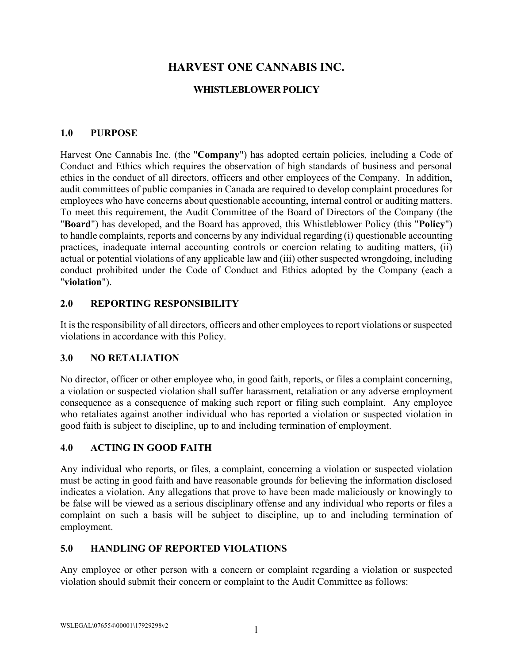## **HARVEST ONE CANNABIS INC.**

## **WHISTLEBLOWER POLICY**

### **1.0 PURPOSE**

Harvest One Cannabis Inc. (the "**Company**") has adopted certain policies, including a Code of Conduct and Ethics which requires the observation of high standards of business and personal ethics in the conduct of all directors, officers and other employees of the Company. In addition, audit committees of public companies in Canada are required to develop complaint procedures for employees who have concerns about questionable accounting, internal control or auditing matters. To meet this requirement, the Audit Committee of the Board of Directors of the Company (the "**Board**") has developed, and the Board has approved, this Whistleblower Policy (this "**Policy**") to handle complaints, reports and concerns by any individual regarding (i) questionable accounting practices, inadequate internal accounting controls or coercion relating to auditing matters, (ii) actual or potential violations of any applicable law and (iii) other suspected wrongdoing, including conduct prohibited under the Code of Conduct and Ethics adopted by the Company (each a "**violation**").

#### **2.0 REPORTING RESPONSIBILITY**

It is the responsibility of all directors, officers and other employees to report violations or suspected violations in accordance with this Policy.

#### **3.0 NO RETALIATION**

No director, officer or other employee who, in good faith, reports, or files a complaint concerning, a violation or suspected violation shall suffer harassment, retaliation or any adverse employment consequence as a consequence of making such report or filing such complaint. Any employee who retaliates against another individual who has reported a violation or suspected violation in good faith is subject to discipline, up to and including termination of employment.

#### **4.0 ACTING IN GOOD FAITH**

Any individual who reports, or files, a complaint, concerning a violation or suspected violation must be acting in good faith and have reasonable grounds for believing the information disclosed indicates a violation. Any allegations that prove to have been made maliciously or knowingly to be false will be viewed as a serious disciplinary offense and any individual who reports or files a complaint on such a basis will be subject to discipline, up to and including termination of employment.

## **5.0 HANDLING OF REPORTED VIOLATIONS**

Any employee or other person with a concern or complaint regarding a violation or suspected violation should submit their concern or complaint to the Audit Committee as follows: